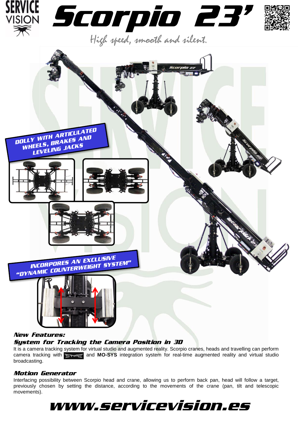





## *New Features: System for Tracking the Camera Position in 3D*

It is a camera tracking system for virtual studio and augmented reality. Scorpio cranes, heads and travelling can perform camera tracking with **and <b>MO-SYS** integration system for real-time augmented reality and virtual studio broadcasting.

## *Motion Generator*

Interfacing possibility between Scorpio head and crane, allowing us to perform back pan, head will follow a target, previously chosen by setting the distance, according to the movements of the crane (pan, tilt and telescopic movements).